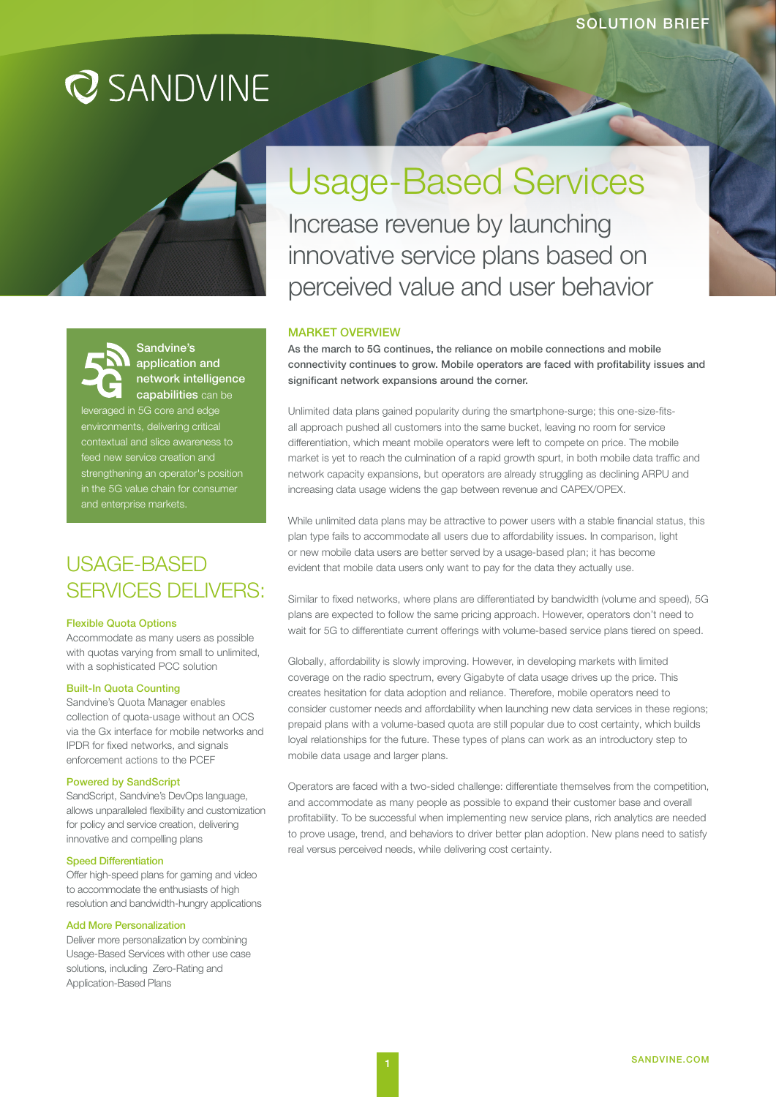# **Q** SANDVINE



# Sandvine's application and network intelligence **capabilities** can be

leveraged in 5G core and edge environments, delivering critical contextual and slice awareness to feed new service creation and strengthening an operator's position in the 5G value chain for consumer and enterprise markets.

# USAGE-BASED SERVICES DELIVERS:

## Flexible Quota Options

Accommodate as many users as possible with quotas varying from small to unlimited, with a sophisticated PCC solution

#### Built-In Quota Counting

Sandvine's Quota Manager enables collection of quota-usage without an OCS via the Gx interface for mobile networks and IPDR for fixed networks, and signals enforcement actions to the PCEF

#### Powered by SandScript

SandScript, Sandvine's DevOps language, allows unparalleled flexibility and customization for policy and service creation, delivering innovative and compelling plans

## Speed Differentiation

Offer high-speed plans for gaming and video to accommodate the enthusiasts of high resolution and bandwidth-hungry applications

## Add More Personalization

Deliver more personalization by combining Usage-Based Services with other use case solutions, including Zero-Rating and Application-Based Plans

Usage-Based Services

Increase revenue by launching innovative service plans based on perceived value and user behavior

#### MARKET OVERVIEW

As the march to 5G continues, the reliance on mobile connections and mobile connectivity continues to grow. Mobile operators are faced with profitability issues and significant network expansions around the corner.

Unlimited data plans gained popularity during the smartphone-surge; this one-size-fitsall approach pushed all customers into the same bucket, leaving no room for service differentiation, which meant mobile operators were left to compete on price. The mobile market is yet to reach the culmination of a rapid growth spurt, in both mobile data traffic and network capacity expansions, but operators are already struggling as declining ARPU and increasing data usage widens the gap between revenue and CAPEX/OPEX.

While unlimited data plans may be attractive to power users with a stable financial status, this plan type fails to accommodate all users due to affordability issues. In comparison, light or new mobile data users are better served by a usage-based plan; it has become evident that mobile data users only want to pay for the data they actually use.

Similar to fixed networks, where plans are differentiated by bandwidth (volume and speed), 5G plans are expected to follow the same pricing approach. However, operators don't need to wait for 5G to differentiate current offerings with volume-based service plans tiered on speed.

Globally, affordability is slowly improving. However, in developing markets with limited coverage on the radio spectrum, every Gigabyte of data usage drives up the price. This creates hesitation for data adoption and reliance. Therefore, mobile operators need to consider customer needs and affordability when launching new data services in these regions; prepaid plans with a volume-based quota are still popular due to cost certainty, which builds loyal relationships for the future. These types of plans can work as an introductory step to mobile data usage and larger plans.

Operators are faced with a two-sided challenge: differentiate themselves from the competition, and accommodate as many people as possible to expand their customer base and overall profitability. To be successful when implementing new service plans, rich analytics are needed to prove usage, trend, and behaviors to driver better plan adoption. New plans need to satisfy real versus perceived needs, while delivering cost certainty.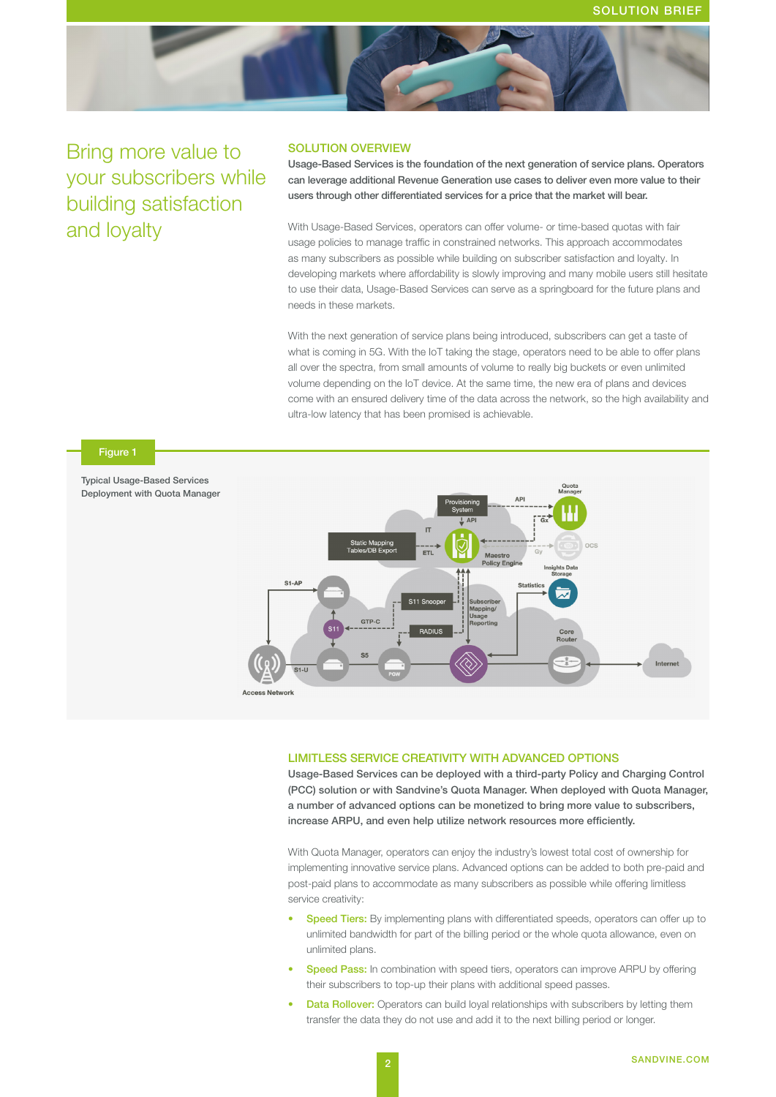

Bring more value to your subscribers while building satisfaction and loyalty

# SOLUTION OVERVIEW

Usage-Based Services is the foundation of the next generation of service plans. Operators can leverage additional Revenue Generation use cases to deliver even more value to their users through other differentiated services for a price that the market will bear.

With Usage-Based Services, operators can offer volume- or time-based quotas with fair usage policies to manage traffic in constrained networks. This approach accommodates as many subscribers as possible while building on subscriber satisfaction and loyalty. In developing markets where affordability is slowly improving and many mobile users still hesitate to use their data, Usage-Based Services can serve as a springboard for the future plans and needs in these markets.

With the next generation of service plans being introduced, subscribers can get a taste of what is coming in 5G. With the IoT taking the stage, operators need to be able to offer plans all over the spectra, from small amounts of volume to really big buckets or even unlimited volume depending on the IoT device. At the same time, the new era of plans and devices come with an ensured delivery time of the data across the network, so the high availability and ultra-low latency that has been promised is achievable.



#### LIMITLESS SERVICE CREATIVITY WITH ADVANCED OPTIONS

Usage-Based Services can be deployed with a third-party Policy and Charging Control (PCC) solution or with Sandvine's Quota Manager. When deployed with Quota Manager, a number of advanced options can be monetized to bring more value to subscribers, increase ARPU, and even help utilize network resources more efficiently.

With Quota Manager, operators can enjoy the industry's lowest total cost of ownership for implementing innovative service plans. Advanced options can be added to both pre-paid and post-paid plans to accommodate as many subscribers as possible while offering limitless service creativity:

- **Speed Tiers:** By implementing plans with differentiated speeds, operators can offer up to unlimited bandwidth for part of the billing period or the whole quota allowance, even on unlimited plans.
- **Speed Pass:** In combination with speed tiers, operators can improve ARPU by offering their subscribers to top-up their plans with additional speed passes.
- **Data Rollover:** Operators can build loyal relationships with subscribers by letting them transfer the data they do not use and add it to the next billing period or longer.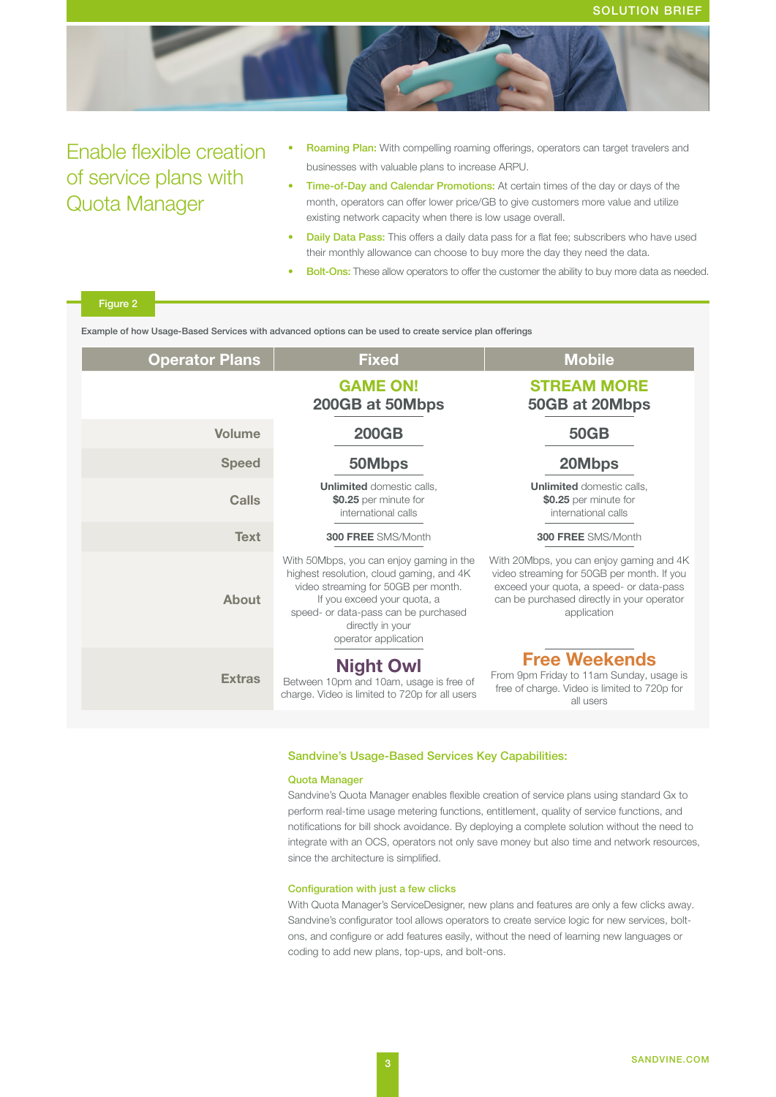

# Enable flexible creation of service plans with Quota Manager

- Roaming Plan: With compelling roaming offerings, operators can target travelers and businesses with valuable plans to increase ARPU.
- Time-of-Day and Calendar Promotions: At certain times of the day or days of the month, operators can offer lower price/GB to give customers more value and utilize existing network capacity when there is low usage overall.
- **Daily Data Pass:** This offers a daily data pass for a flat fee: subscribers who have used their monthly allowance can choose to buy more the day they need the data.
- **Bolt-Ons:** These allow operators to offer the customer the ability to buy more data as needed.

| <b>Operator Plans</b> | <b>Fixed</b>                                                                                                                                                                                                                                   | <b>Mobile</b>                                                                                                                                                                                   |
|-----------------------|------------------------------------------------------------------------------------------------------------------------------------------------------------------------------------------------------------------------------------------------|-------------------------------------------------------------------------------------------------------------------------------------------------------------------------------------------------|
|                       | <b>GAME ON!</b><br>200GB at 50Mbps                                                                                                                                                                                                             | <b>STREAM MORE</b><br>50GB at 20Mbps                                                                                                                                                            |
| Volume                | <b>200GB</b>                                                                                                                                                                                                                                   | <b>50GB</b>                                                                                                                                                                                     |
| <b>Speed</b>          | 50Mbps                                                                                                                                                                                                                                         | 20Mbps                                                                                                                                                                                          |
| Calls                 | <b>Unlimited</b> domestic calls,<br>\$0.25 per minute for<br>international calls                                                                                                                                                               | <b>Unlimited</b> domestic calls.<br>\$0.25 per minute for<br>international calls                                                                                                                |
| <b>Text</b>           | 300 FREE SMS/Month                                                                                                                                                                                                                             | 300 FREE SMS/Month                                                                                                                                                                              |
| <b>About</b>          | With 50Mbps, you can enjoy gaming in the<br>highest resolution, cloud gaming, and 4K<br>video streaming for 50GB per month.<br>If you exceed your quota, a<br>speed- or data-pass can be purchased<br>directly in your<br>operator application | With 20Mbps, you can enjoy gaming and 4K<br>video streaming for 50GB per month. If you<br>exceed your quota, a speed- or data-pass<br>can be purchased directly in your operator<br>application |
| <b>Extras</b>         | <b>Night Owl</b><br>Between 10pm and 10am, usage is free of<br>charge. Video is limited to 720p for all users                                                                                                                                  | <b>Free Weekends</b><br>From 9pm Friday to 11am Sunday, usage is<br>free of charge. Video is limited to 720p for<br>all users                                                                   |

### Sandvine's Usage-Based Services Key Capabilities:

#### Quota Manager

Sandvine's Quota Manager enables flexible creation of service plans using standard Gx to perform real-time usage metering functions, entitlement, quality of service functions, and notifications for bill shock avoidance. By deploying a complete solution without the need to integrate with an OCS, operators not only save money but also time and network resources, since the architecture is simplified.

# Configuration with just a few clicks

With Quota Manager's ServiceDesigner, new plans and features are only a few clicks away. Sandvine's configurator tool allows operators to create service logic for new services, boltons, and configure or add features easily, without the need of learning new languages or coding to add new plans, top-ups, and bolt-ons.